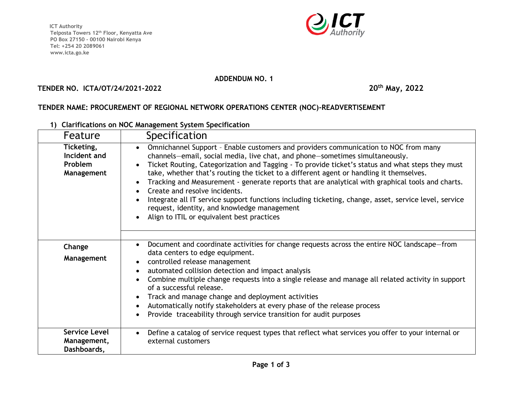**ICT Authority Telposta Towers 12th Floor, Kenyatta Ave PO Box 27150 - 00100 Nairobi Kenya Tel: +254 20 2089061 www.icta.go.ke** 



## **ADDENDUM NO. 1**

## **TENDER NO. ICTA/OT/24/2021-2022 20th May, 2022**

## **TENDER NAME: PROCUREMENT OF REGIONAL NETWORK OPERATIONS CENTER (NOC)-READVERTISEMENT**

**1) Clarifications on NOC Management System Specification**

| Feature                                             | Specification                                                                                                                                                                                                                                                                                                                                                                                                                                                                                                                                                                                                                                                                                                 |
|-----------------------------------------------------|---------------------------------------------------------------------------------------------------------------------------------------------------------------------------------------------------------------------------------------------------------------------------------------------------------------------------------------------------------------------------------------------------------------------------------------------------------------------------------------------------------------------------------------------------------------------------------------------------------------------------------------------------------------------------------------------------------------|
| Ticketing,<br>Incident and<br>Problem<br>Management | Omnichannel Support - Enable customers and providers communication to NOC from many<br>channels-email, social media, live chat, and phone-sometimes simultaneously.<br>Ticket Routing, Categorization and Tagging - To provide ticket's status and what steps they must<br>take, whether that's routing the ticket to a different agent or handling it themselves.<br>Tracking and Measurement - generate reports that are analytical with graphical tools and charts.<br>Create and resolve incidents.<br>Integrate all IT service support functions including ticketing, change, asset, service level, service<br>request, identity, and knowledge management<br>Align to ITIL or equivalent best practices |
| Change<br>Management                                | Document and coordinate activities for change requests across the entire NOC landscape–from<br>data centers to edge equipment.<br>controlled release management<br>automated collision detection and impact analysis<br>Combine multiple change requests into a single release and manage all related activity in support<br>of a successful release.<br>Track and manage change and deployment activities<br>Automatically notify stakeholders at every phase of the release process<br>Provide traceability through service transition for audit purposes                                                                                                                                                   |
| <b>Service Level</b><br>Management,<br>Dashboards,  | Define a catalog of service request types that reflect what services you offer to your internal or<br>external customers                                                                                                                                                                                                                                                                                                                                                                                                                                                                                                                                                                                      |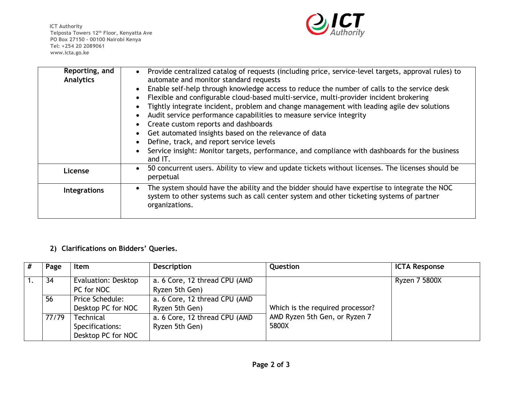**ICT Authority Telposta Towers 12th Floor, Kenyatta Ave PO Box 27150 - 00100 Nairobi Kenya Tel: +254 20 2089061 www.icta.go.ke** 



| Reporting, and<br>Analytics | Provide centralized catalog of requests (including price, service-level targets, approval rules) to<br>automate and monitor standard requests<br>Enable self-help through knowledge access to reduce the number of calls to the service desk<br>Flexible and configurable cloud-based multi-service, multi-provider incident brokering<br>Tightly integrate incident, problem and change management with leading agile dev solutions<br>Audit service performance capabilities to measure service integrity<br>Create custom reports and dashboards<br>Get automated insights based on the relevance of data<br>Define, track, and report service levels<br>Service insight: Monitor targets, performance, and compliance with dashboards for the business<br>and IT. |
|-----------------------------|-----------------------------------------------------------------------------------------------------------------------------------------------------------------------------------------------------------------------------------------------------------------------------------------------------------------------------------------------------------------------------------------------------------------------------------------------------------------------------------------------------------------------------------------------------------------------------------------------------------------------------------------------------------------------------------------------------------------------------------------------------------------------|
| License                     | 50 concurrent users. Ability to view and update tickets without licenses. The licenses should be<br>$\bullet$<br>perpetual                                                                                                                                                                                                                                                                                                                                                                                                                                                                                                                                                                                                                                            |
| Integrations                | The system should have the ability and the bidder should have expertise to integrate the NOC<br>system to other systems such as call center system and other ticketing systems of partner<br>organizations.                                                                                                                                                                                                                                                                                                                                                                                                                                                                                                                                                           |

## **2) Clarifications on Bidders' Queries.**

| # | Page  | Item                                                      | <b>Description</b>                               | Question                               | <b>ICTA Response</b> |
|---|-------|-----------------------------------------------------------|--------------------------------------------------|----------------------------------------|----------------------|
|   | 34    | Evaluation: Desktop<br>PC for NOC                         | a. 6 Core, 12 thread CPU (AMD)<br>Ryzen 5th Gen) |                                        | <b>Ryzen 7 5800X</b> |
|   | 56    | Price Schedule:<br>Desktop PC for NOC                     | a. 6 Core, 12 thread CPU (AMD<br>Ryzen 5th Gen)  | Which is the required processor?       |                      |
|   | 77/79 | <b>Technical</b><br>Specifications:<br>Desktop PC for NOC | a. 6 Core, 12 thread CPU (AMD<br>Ryzen 5th Gen)  | AMD Ryzen 5th Gen, or Ryzen 7<br>5800X |                      |